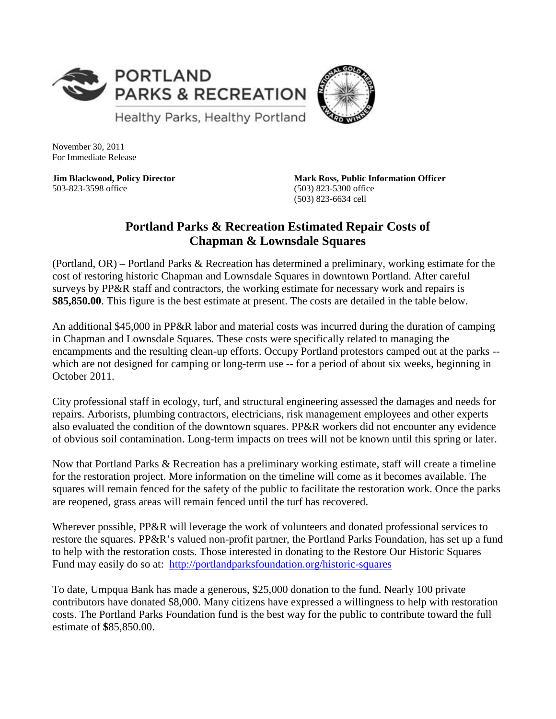



November 30, 2011 For Immediate Release

**Jim Blackwood, Policy Director**  503-823-3598 office

**Mark Ross, Public Information Officer**  (503) 823-5300 office (503) 823-6634 cell

## **Portland Parks & Recreation Estimated Repair Costs of Chapman & Lownsdale Squares**

(Portland, OR) – Portland Parks & Recreation has determined a preliminary, working estimate for the cost of restoring historic Chapman and Lownsdale Squares in downtown Portland. After careful surveys by PP&R staff and contractors, the working estimate for necessary work and repairs is **\$85,850.00**. This figure is the best estimate at present. The costs are detailed in the table below.

An additional \$45,000 in PP&R labor and material costs was incurred during the duration of camping in Chapman and Lownsdale Squares. These costs were specifically related to managing the encampments and the resulting clean-up efforts. Occupy Portland protestors camped out at the parks - which are not designed for camping or long-term use -- for a period of about six weeks, beginning in October 2011.

City professional staff in ecology, turf, and structural engineering assessed the damages and needs for repairs. Arborists, plumbing contractors, electricians, risk management employees and other experts also evaluated the condition of the downtown squares. PP&R workers did not encounter any evidence of obvious soil contamination. Long-term impacts on trees will not be known until this spring or later.

Now that Portland Parks & Recreation has a preliminary working estimate, staff will create a timeline for the restoration project. More information on the timeline will come as it becomes available. The squares will remain fenced for the safety of the public to facilitate the restoration work. Once the parks are reopened, grass areas will remain fenced until the turf has recovered.

Wherever possible, PP&R will leverage the work of volunteers and donated professional services to restore the squares. PP&R's valued non-profit partner, the Portland Parks Foundation, has set up a fund to help with the restoration costs. Those interested in donating to the Restore Our Historic Squares Fund may easily do so at: http://portlandparksfoundation.org/historic-squares

To date, Umpqua Bank has made a generous, \$25,000 donation to the fund. Nearly 100 private contributors have donated \$8,000. Many citizens have expressed a willingness to help with restoration costs. The Portland Parks Foundation fund is the best way for the public to contribute toward the full estimate of **\$**85,850.00.